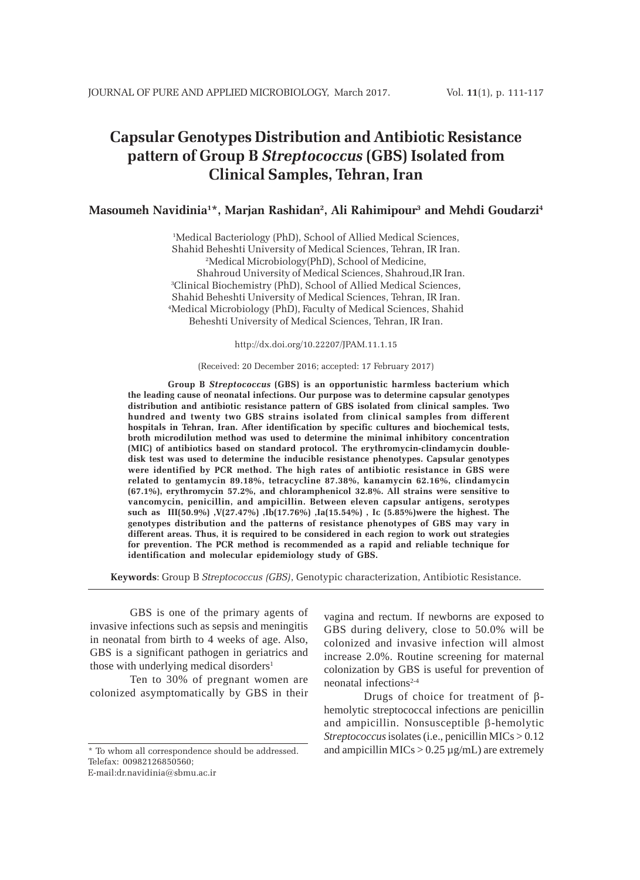# **Capsular Genotypes Distribution and Antibiotic Resistance pattern of Group B** *Streptococcus* **(GBS) Isolated from Clinical Samples, Tehran, Iran**

### **Masoumeh Navidinia1 \*, Marjan Rashidan2, Ali Rahimipour3 and Mehdi Goudarzi4**

1 Medical Bacteriology (PhD), School of Allied Medical Sciences, Shahid Beheshti University of Medical Sciences, Tehran, IR Iran. 2 Medical Microbiology(PhD), School of Medicine, Shahroud University of Medical Sciences, Shahroud,IR Iran. 3 Clinical Biochemistry (PhD), School of Allied Medical Sciences, Shahid Beheshti University of Medical Sciences, Tehran, IR Iran. 4 Medical Microbiology (PhD), Faculty of Medical Sciences, Shahid Beheshti University of Medical Sciences, Tehran, IR Iran.

http://dx.doi.org/10.22207/JPAM.11.1.15

#### (Received: 20 December 2016; accepted: 17 February 2017)

**Group B** *Streptococcus* **(GBS) is an opportunistic harmless bacterium which the leading cause of neonatal infections. Our purpose was to determine capsular genotypes distribution and antibiotic resistance pattern of GBS isolated from clinical samples. Two hundred and twenty two GBS strains isolated from clinical samples from different hospitals in Tehran, Iran. After identification by specific cultures and biochemical tests, broth microdilution method was used to determine the minimal inhibitory concentration (MIC) of antibiotics based on standard protocol. The erythromycin-clindamycin doubledisk test was used to determine the inducible resistance phenotypes. Capsular genotypes were identified by PCR method. The high rates of antibiotic resistance in GBS were related to gentamycin 89.18%, tetracycline 87.38%, kanamycin 62.16%, clindamycin (67.1%), erythromycin 57.2%, and chloramphenicol 32.8%. All strains were sensitive to vancomycin, penicillin, and ampicillin. Between eleven capsular antigens, serotypes such as III(50.9%) ,V(27.47%) ,Ib(17.76%) ,Ia(15.54%) , Ic (5.85%)were the highest. The genotypes distribution and the patterns of resistance phenotypes of GBS may vary in different areas. Thus, it is required to be considered in each region to work out strategies for prevention. The PCR method is recommended as a rapid and reliable technique for identification and molecular epidemiology study of GBS.**

**Keywords**: Group B *Streptococcus (GBS)*, Genotypic characterization, Antibiotic Resistance.

GBS is one of the primary agents of invasive infections such as sepsis and meningitis in neonatal from birth to 4 weeks of age. Also, GBS is a significant pathogen in geriatrics and those with underlying medical disorders<sup>1</sup>

Ten to 30% of pregnant women are colonized asymptomatically by GBS in their

E-mail:dr.navidinia@sbmu.ac.ir

vagina and rectum. If newborns are exposed to GBS during delivery, close to 50.0% will be colonized and invasive infection will almost increase 2.0%. Routine screening for maternal colonization by GBS is useful for prevention of neonatal infections<sup>2-4</sup>

Drugs of choice for treatment of βhemolytic streptococcal infections are penicillin and ampicillin. Nonsusceptible β-hemolytic *Streptococcus* isolates (i.e., penicillin MICs > 0.12 and ampicillin  $MICs > 0.25 \mu g/mL$ ) are extremely

<sup>\*</sup> To whom all correspondence should be addressed. Telefax: 00982126850560;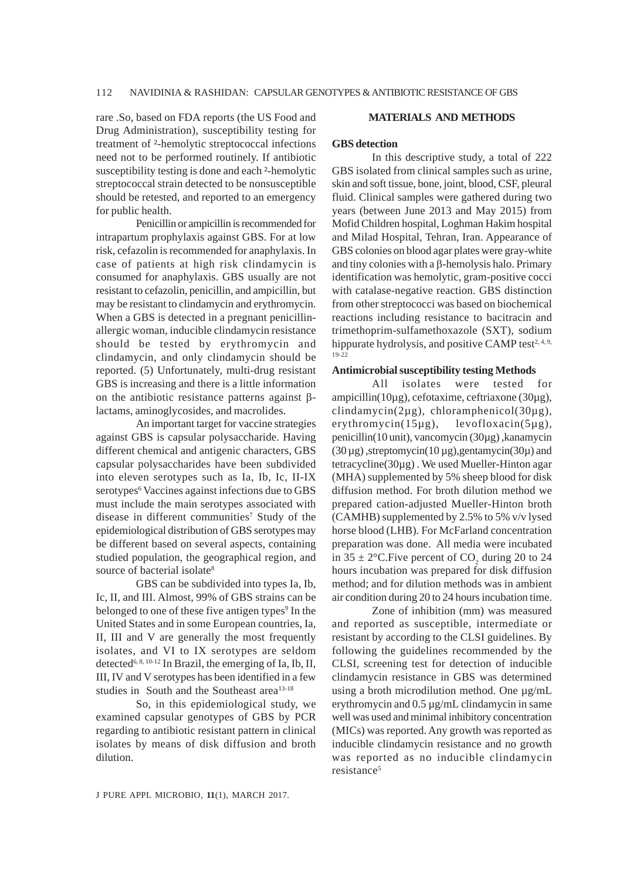rare .So, based on FDA reports (the US Food and Drug Administration), susceptibility testing for treatment of ²-hemolytic streptococcal infections need not to be performed routinely. If antibiotic susceptibility testing is done and each ²-hemolytic streptococcal strain detected to be nonsusceptible should be retested, and reported to an emergency for public health.

Penicillin or ampicillin is recommended for intrapartum prophylaxis against GBS. For at low risk, cefazolin is recommended for anaphylaxis. In case of patients at high risk clindamycin is consumed for anaphylaxis. GBS usually are not resistant to cefazolin, penicillin, and ampicillin, but may be resistant to clindamycin and erythromycin. When a GBS is detected in a pregnant penicillinallergic woman, inducible clindamycin resistance should be tested by erythromycin and clindamycin, and only clindamycin should be reported. (5) Unfortunately, multi-drug resistant GBS is increasing and there is a little information on the antibiotic resistance patterns against βlactams, aminoglycosides, and macrolides.

An important target for vaccine strategies against GBS is capsular polysaccharide. Having different chemical and antigenic characters, GBS capsular polysaccharides have been subdivided into eleven serotypes such as Ia, Ib, Ic, II-IX serotypes<sup>6</sup> Vaccines against infections due to GBS must include the main serotypes associated with disease in different communities<sup>7</sup> Study of the epidemiological distribution of GBS serotypes may be different based on several aspects, containing studied population, the geographical region, and source of bacterial isolate<sup>8</sup>

GBS can be subdivided into types Ia, Ib, Ic, II, and III. Almost, 99% of GBS strains can be belonged to one of these five antigen types<sup>9</sup> In the United States and in some European countries, Ia, II, III and V are generally the most frequently isolates, and VI to IX serotypes are seldom detected<sup>6, 8, 10-12</sup> In Brazil, the emerging of Ia, Ib, II, III, IV and V serotypes has been identified in a few studies in South and the Southeast area<sup>13-18</sup>

So, in this epidemiological study, we examined capsular genotypes of GBS by PCR regarding to antibiotic resistant pattern in clinical isolates by means of disk diffusion and broth dilution.

### **MATERIALS AND METHODS**

### **GBS detection**

In this descriptive study, a total of 222 GBS isolated from clinical samples such as urine, skin and soft tissue, bone, joint, blood, CSF, pleural fluid. Clinical samples were gathered during two years (between June 2013 and May 2015) from Mofid Children hospital, Loghman Hakim hospital and Milad Hospital, Tehran, Iran. Appearance of GBS colonies on blood agar plates were gray-white and tiny colonies with a β-hemolysis halo. Primary identification was hemolytic, gram-positive cocci with catalase-negative reaction. GBS distinction from other streptococci was based on biochemical reactions including resistance to bacitracin and trimethoprim-sulfamethoxazole (SXT), sodium hippurate hydrolysis, and positive CAMP test $2, 4, 9$ , 19-22

### **Antimicrobial susceptibility testing Methods**

All isolates were tested for ampicillin(10µg), cefotaxime, ceftriaxone (30µg), clindamycin(2µg), chloramphenicol(30µg), erythromycin(15µg), levofloxacin(5µg), penicillin(10 unit), vancomycin (30µg) ,kanamycin  $(30 \,\mu g)$ , streptomycin $(10 \,\mu g)$ , gentamycin $(30\mu)$  and tetracycline(30µg) . We used Mueller-Hinton agar (MHA) supplemented by 5% sheep blood for disk diffusion method. For broth dilution method we prepared cation-adjusted Mueller-Hinton broth (CAMHB) supplemented by 2.5% to 5% v/v lysed horse blood (LHB). For McFarland concentration preparation was done. All media were incubated in  $35 \pm 2^{\circ}$ C. Five percent of CO<sub>2</sub> during 20 to 24 hours incubation was prepared for disk diffusion method; and for dilution methods was in ambient air condition during 20 to 24 hours incubation time.

Zone of inhibition (mm) was measured and reported as susceptible, intermediate or resistant by according to the CLSI guidelines. By following the guidelines recommended by the CLSI, screening test for detection of inducible clindamycin resistance in GBS was determined using a broth microdilution method. One µg/mL erythromycin and 0.5 µg/mL clindamycin in same well was used and minimal inhibitory concentration (MICs) was reported. Any growth was reported as inducible clindamycin resistance and no growth was reported as no inducible clindamycin resistance<sup>5</sup>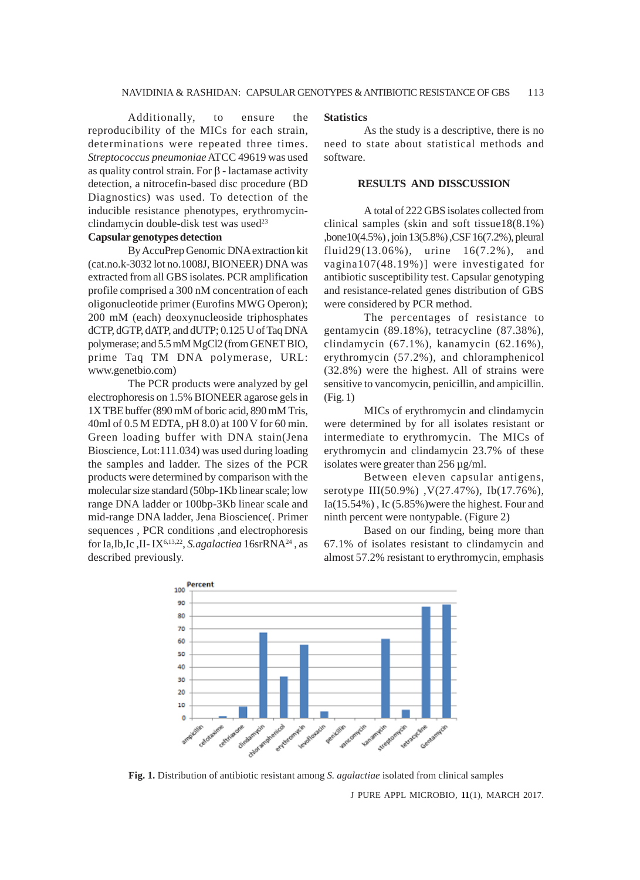Additionally, to ensure the reproducibility of the MICs for each strain, determinations were repeated three times. *Streptococcus pneumoniae* ATCC 49619 was used as quality control strain. For β - lactamase activity detection, a nitrocefin-based disc procedure (BD Diagnostics) was used. To detection of the inducible resistance phenotypes, erythromycinclindamycin double-disk test was used<sup>23</sup>

# **Capsular genotypes detection**

By AccuPrep Genomic DNA extraction kit (cat.no.k-3032 lot no.1008J, BIONEER) DNA was extracted from all GBS isolates. PCR amplification profile comprised a 300 nM concentration of each oligonucleotide primer (Eurofins MWG Operon); 200 mM (each) deoxynucleoside triphosphates dCTP, dGTP, dATP, and dUTP; 0.125 U of Taq DNA polymerase; and 5.5 mM MgCl2 (from GENET BIO, prime Taq TM DNA polymerase, URL: www.genetbio.com)

The PCR products were analyzed by gel electrophoresis on 1.5% BIONEER agarose gels in 1X TBE buffer (890 mM of boric acid, 890 mM Tris, 40ml of 0.5 M EDTA, pH 8.0) at 100 V for 60 min. Green loading buffer with DNA stain(Jena Bioscience, Lot:111.034) was used during loading the samples and ladder. The sizes of the PCR products were determined by comparison with the molecular size standard (50bp-1Kb linear scale; low range DNA ladder or 100bp-3Kb linear scale and mid-range DNA ladder, Jena Bioscience(. Primer sequences , PCR conditions ,and electrophoresis for Ia,Ib,Ic ,II- IX6,13,22, *S.agalactiea* 16srRNA24 , as described previously.

#### **Statistics**

As the study is a descriptive, there is no need to state about statistical methods and software.

## **RESULTS AND DISSCUSSION**

A total of 222 GBS isolates collected from clinical samples (skin and soft tissue18(8.1%) ,bone10(4.5%) , join 13(5.8%) ,CSF 16(7.2%), pleural fluid29(13.06%), urine 16(7.2%), and vagina107(48.19%)] were investigated for antibiotic susceptibility test. Capsular genotyping and resistance-related genes distribution of GBS were considered by PCR method.

The percentages of resistance to gentamycin (89.18%), tetracycline (87.38%), clindamycin (67.1%), kanamycin (62.16%), erythromycin (57.2%), and chloramphenicol (32.8%) were the highest. All of strains were sensitive to vancomycin, penicillin, and ampicillin. (Fig. 1)

MICs of erythromycin and clindamycin were determined by for all isolates resistant or intermediate to erythromycin. The MICs of erythromycin and clindamycin 23.7% of these isolates were greater than 256 µg/ml.

Between eleven capsular antigens, serotype III(50.9%) ,V(27.47%), Ib(17.76%),  $Ia(15.54\%)$ , Ic  $(5.85\%)$  were the highest. Four and ninth percent were nontypable. (Figure 2)

Based on our finding, being more than 67.1% of isolates resistant to clindamycin and almost 57.2% resistant to erythromycin, emphasis



**Fig. 1.** Distribution of antibiotic resistant among *S. agalactiae* isolated from clinical samples

J PURE APPL MICROBIO*,* **11**(1), MARCH 2017.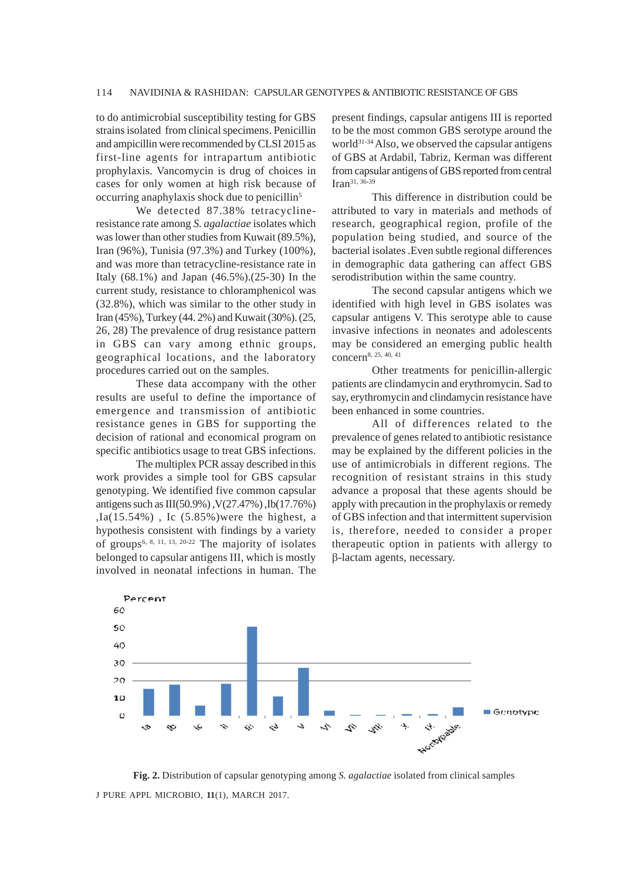to do antimicrobial susceptibility testing for GBS strains isolated from clinical specimens. Penicillin and ampicillin were recommended by CLSI 2015 as first-line agents for intrapartum antibiotic prophylaxis. Vancomycin is drug of choices in cases for only women at high risk because of occurring anaphylaxis shock due to penicillin5

We detected 87.38% tetracyclineresistance rate among *S. agalactiae* isolates which was lower than other studies from Kuwait (89.5%), Iran (96%), Tunisia (97.3%) and Turkey (100%), and was more than tetracycline-resistance rate in Italy (68.1%) and Japan (46.5%).(25-30) In the current study, resistance to chloramphenicol was (32.8%), which was similar to the other study in Iran (45%), Turkey (44. 2%) and Kuwait (30%). (25, 26, 28) The prevalence of drug resistance pattern in GBS can vary among ethnic groups, geographical locations, and the laboratory procedures carried out on the samples.

These data accompany with the other results are useful to define the importance of emergence and transmission of antibiotic resistance genes in GBS for supporting the decision of rational and economical program on specific antibiotics usage to treat GBS infections.

The multiplex PCR assay described in this work provides a simple tool for GBS capsular genotyping. We identified five common capsular antigens such as III(50.9%) ,V(27.47%) ,Ib(17.76%) ,Ia(15.54%) , Ic (5.85%)were the highest, a hypothesis consistent with findings by a variety of groups<sup>6, 8, 11, 13, 20-22</sup> The majority of isolates belonged to capsular antigens III, which is mostly involved in neonatal infections in human. The

present findings, capsular antigens III is reported to be the most common GBS serotype around the world<sup>31-34</sup> Also, we observed the capsular antigens of GBS at Ardabil, Tabriz, Kerman was different from capsular antigens of GBS reported from central Iran31, 36-39

This difference in distribution could be attributed to vary in materials and methods of research, geographical region, profile of the population being studied, and source of the bacterial isolates .Even subtle regional differences in demographic data gathering can affect GBS serodistribution within the same country.

The second capsular antigens which we identified with high level in GBS isolates was capsular antigens V. This serotype able to cause invasive infections in neonates and adolescents may be considered an emerging public health concern8, 25, 40, 41

Other treatments for penicillin-allergic patients are clindamycin and erythromycin. Sad to say, erythromycin and clindamycin resistance have been enhanced in some countries.

All of differences related to the prevalence of genes related to antibiotic resistance may be explained by the different policies in the use of antimicrobials in different regions. The recognition of resistant strains in this study advance a proposal that these agents should be apply with precaution in the prophylaxis or remedy of GBS infection and that intermittent supervision is, therefore, needed to consider a proper therapeutic option in patients with allergy to β-lactam agents, necessary.



J PURE APPL MICROBIO*,* **11**(1), MARCH 2017. **Fig. 2.** Distribution of capsular genotyping among *S. agalactiae* isolated from clinical samples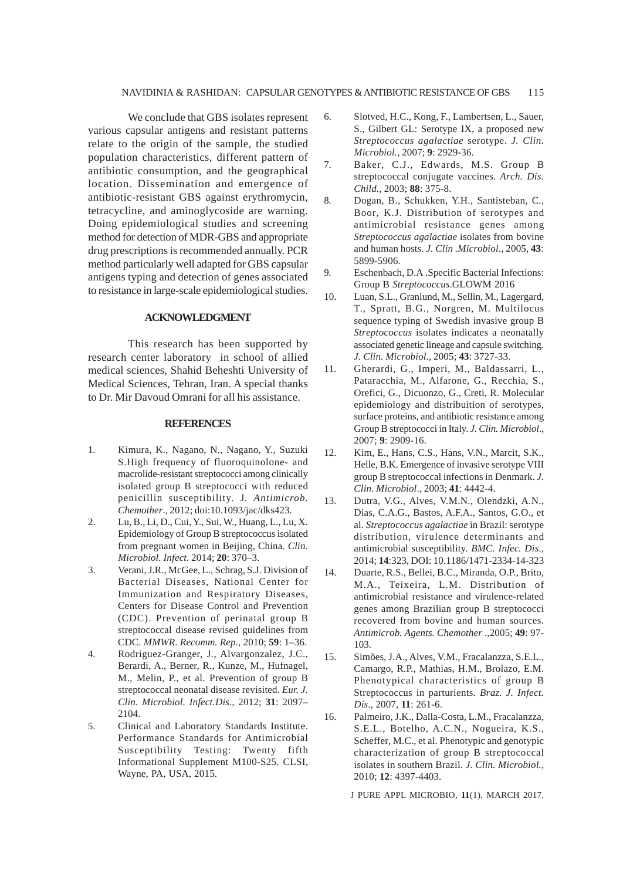We conclude that GBS isolates represent various capsular antigens and resistant patterns relate to the origin of the sample, the studied population characteristics, different pattern of antibiotic consumption, and the geographical location. Dissemination and emergence of antibiotic-resistant GBS against erythromycin, tetracycline, and aminoglycoside are warning. Doing epidemiological studies and screening method for detection of MDR-GBS and appropriate drug prescriptions is recommended annually. PCR method particularly well adapted for GBS capsular antigens typing and detection of genes associated to resistance in large-scale epidemiological studies.

### **ACKNOWLEDGMENT**

This research has been supported by research center laboratory in school of allied medical sciences, Shahid Beheshti University of Medical Sciences, Tehran, Iran. A special thanks to Dr. Mir Davoud Omrani for all his assistance.

### **REFERENCES**

- 1. Kimura, K., Nagano, N., Nagano, Y., Suzuki S.High frequency of fluoroquinolone- and macrolide-resistant streptococci among clinically isolated group B streptococci with reduced penicillin susceptibility. J*. Antimicrob. Chemother*., 2012; doi:10.1093/jac/dks423.
- 2. Lu, B., Li, D., Cui, Y., Sui, W., Huang, L., Lu, X. Epidemiology of Group B streptococcus isolated from pregnant women in Beijing, China. *Clin. Microbiol. Infect*. 2014; **20**: 370–3.
- 3. Verani, J.R., McGee, L., Schrag, S.J. Division of Bacterial Diseases, National Center for Immunization and Respiratory Diseases, Centers for Disease Control and Prevention (CDC). Prevention of perinatal group B streptococcal disease revised guidelines from CDC. *MMWR. Recomm. Rep.,* 2010; **59**: 1–36.
- 4. Rodriguez-Granger, J., Alvargonzalez, J.C., Berardi, A., Berner, R., Kunze, M., Hufnagel, M., Melin, P., et al. Prevention of group B streptococcal neonatal disease revisited. *Eur. J. Clin. Microbiol. Infect.Dis.*, 2012; **31**: 2097– 2104.
- 5. Clinical and Laboratory Standards Institute. Performance Standards for Antimicrobial Susceptibility Testing: Twenty fifth Informational Supplement M100-S25. CLSI, Wayne, PA, USA, 2015.
- 6. Slotved, H.C., Kong, F., Lambertsen, L., Sauer, S., Gilbert GL: Serotype IX, a proposed new *Streptococcus agalactiae* serotype. *J. Clin. Microbiol.,* 2007; **9**: 2929-36.
- 7. Baker, C.J., Edwards, M.S. Group B streptococcal conjugate vaccines. *Arch. Dis. Child.,* 2003; **88**: 375-8.
- 8. Dogan, B., Schukken, Y.H., Santisteban, C., Boor, K.J. Distribution of serotypes and antimicrobial resistance genes among *Streptococcus agalactiae* isolates from bovine and human hosts. *J. Clin .Microbiol*., 2005, **43**: 5899-5906.
- 9. Eschenbach, D.A .Specific Bacterial Infections: Group B *Streptococcus*.GLOWM 2016
- 10. Luan, S.L., Granlund, M., Sellin, M., Lagergard, T., Spratt, B.G., Norgren, M. Multilocus sequence typing of Swedish invasive group B *Streptococcus* isolates indicates a neonatally associated genetic lineage and capsule switching. *J. Clin. Microbiol.,* 2005; **43**: 3727-33.
- 11. Gherardi, G., Imperi, M., Baldassarri, L., Pataracchia, M., Alfarone, G., Recchia, S., Orefici, G., Dicuonzo, G., Creti, R. Molecular epidemiology and distribuition of serotypes, surface proteins, and antibiotic resistance among Group B streptococci in Italy. *J. Clin. Microbiol*., 2007; **9**: 2909-16.
- 12. Kim, E., Hans, C.S., Hans, V.N., Marcit, S.K., Helle, B.K. Emergence of invasive serotype VIII group B streptococcal infections in Denmark. *J. Clin. Microbiol*., 2003; **41**: 4442-4.
- 13. Dutra, V.G., Alves, V.M.N., Olendzki, A.N., Dias, C.A.G., Bastos, A.F.A., Santos, G.O., et al. *Streptococcus agalactiae* in Brazil: serotype distribution, virulence determinants and antimicrobial susceptibility. *BMC. Infec. Dis*., 2014; **14**:323, DOI: 10.1186/1471-2334-14-323
- 14. Duarte, R.S., Bellei, B.C., Miranda, O.P., Brito, M.A., Teixeira, L.M. Distribution of antimicrobial resistance and virulence-related genes among Brazilian group B streptococci recovered from bovine and human sources. *Antimicrob. Agents. Chemother* .,2005; **49**: 97- 103.
- 15. Simões, J.A., Alves, V.M., Fracalanzza, S.E.L., Camargo, R.P., Mathias, H.M., Brolazo, E.M. Phenotypical characteristics of group B Streptococcus in parturients*. Braz. J. Infect. Dis*., 2007, **11**: 261-6.
- 16. Palmeiro, J.K., Dalla-Costa, L.M., Fracalanzza, S.E.L., Botelho, A.C.N., Nogueira, K.S., Scheffer, M.C., et al. Phenotypic and genotypic characterization of group B streptococcal isolates in southern Brazil. *J. Clin. Microbiol.,* 2010; **12**: 4397-4403.

J PURE APPL MICROBIO*,* **11**(1), MARCH 2017.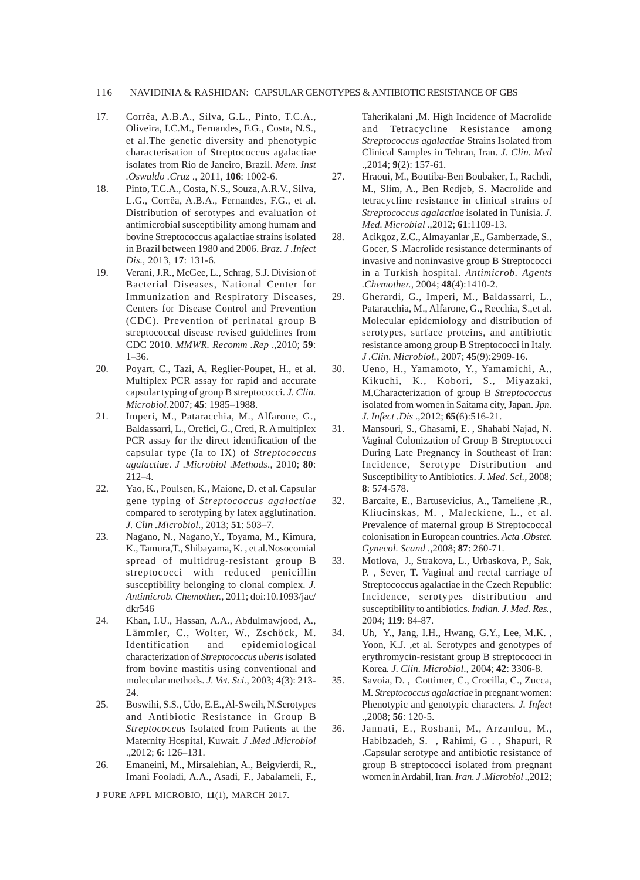### 116 NAVIDINIA & RASHIDAN: CAPSULAR GENOTYPES & ANTIBIOTIC RESISTANCE OF GBS

- 17. Corrêa, A.B.A., Silva, G.L., Pinto, T.C.A., Oliveira, I.C.M., Fernandes, F.G., Costa, N.S., et al.The genetic diversity and phenotypic characterisation of Streptococcus agalactiae isolates from Rio de Janeiro, Brazil. *Mem. Inst .Oswaldo .Cruz* ., 2011, **106**: 1002-6.
- 18. Pinto, T.C.A., Costa, N.S., Souza, A.R.V., Silva, L.G., Corrêa, A.B.A., Fernandes, F.G., et al. Distribution of serotypes and evaluation of antimicrobial susceptibility among humam and bovine Streptococcus agalactiae strains isolated in Brazil between 1980 and 2006. *Braz. J .Infect Dis.,* 2013, **17**: 131-6.
- 19. Verani, J.R., McGee, L., Schrag, S.J. Division of Bacterial Diseases, National Center for Immunization and Respiratory Diseases, Centers for Disease Control and Prevention (CDC). Prevention of perinatal group B streptococcal disease revised guidelines from CDC 2010. *MMWR. Recomm .Rep* .,2010; **59**: 1–36.
- 20. Poyart, C., Tazi, A, Reglier-Poupet, H., et al. Multiplex PCR assay for rapid and accurate capsular typing of group B streptococci. *J. Clin. Microbiol*.2007; **45**: 1985–1988.
- 21. Imperi, M., Pataracchia, M., Alfarone, G., Baldassarri, L., Orefici, G., Creti, R. A multiplex PCR assay for the direct identification of the capsular type (Ia to IX) of *Streptococcus agalactiae*. *J .Microbiol .Methods*., 2010; **80**: 212–4.
- 22. Yao, K., Poulsen, K., Maione, D. et al. Capsular gene typing of *Streptococcus agalactiae* compared to serotyping by latex agglutination. *J. Clin .Microbiol*., 2013; **51**: 503–7.
- 23. Nagano, N., Nagano,Y., Toyama, M., Kimura, K., Tamura,T., Shibayama, K. , et al.Nosocomial spread of multidrug-resistant group B streptococci with reduced penicillin susceptibility belonging to clonal complex. *J. Antimicrob. Chemother.,* 2011; doi:10.1093/jac/ dkr546
- 24. Khan, I.U., Hassan, A.A., Abdulmawjood, A., Lämmler, C., Wolter, W., Zschöck, M. Identification and epidemiological characterization of *Streptococcus uberis* isolated from bovine mastitis using conventional and molecular methods. *J. Vet. Sci.,* 2003; **4**(3): 213- 24.
- 25. Boswihi, S.S., Udo, E.E., Al-Sweih, N.Serotypes and Antibiotic Resistance in Group B *Streptococcus* Isolated from Patients at the Maternity Hospital, Kuwait*. J .Med .Microbiol* .,2012; **6**: 126–131.
- 26. Emaneini, M., Mirsalehian, A., Beigvierdi, R., Imani Fooladi, A.A., Asadi, F., Jabalameli, F.,

J PURE APPL MICROBIO*,* **11**(1), MARCH 2017.

Taherikalani ,M. High Incidence of Macrolide and Tetracycline Resistance among *Streptococcus agalactiae* Strains Isolated from Clinical Samples in Tehran, Iran. *J. Clin. Med* .,2014; **9**(2): 157-61.

- 27. Hraoui, M., Boutiba-Ben Boubaker, I., Rachdi, M., Slim, A., Ben Redjeb, S. Macrolide and tetracycline resistance in clinical strains of *Streptococcus agalactiae* isolated in Tunisia. *J. Med. Microbial* .,2012; **61**:1109-13.
- 28. Acikgoz, Z.C., Almayanlar ,E., Gamberzade, S., Gocer, S .Macrolide resistance determinants of invasive and noninvasive group B Streptococci in a Turkish hospital. *Antimicrob. Agents .Chemother.,* 2004; **48**(4):1410-2.
- 29. Gherardi, G., Imperi, M., Baldassarri, L., Pataracchia, M., Alfarone, G., Recchia, S.,et al. Molecular epidemiology and distribution of serotypes, surface proteins, and antibiotic resistance among group B Streptococci in Italy. *J .Clin. Microbiol.,* 2007; **45**(9):2909-16.
- 30. Ueno, H., Yamamoto, Y., Yamamichi, A., Kikuchi, K., Kobori, S., Miyazaki, M.Characterization of group B *Streptococcus* isolated from women in Saitama city, Japan. *Jpn. J. Infect .Dis* .,2012; **65**(6):516-21.
- 31. Mansouri, S., Ghasami, E. , Shahabi Najad, N. Vaginal Colonization of Group B Streptococci During Late Pregnancy in Southeast of Iran: Incidence, Serotype Distribution and Susceptibility to Antibiotics. *J. Med. Sci.,* 2008; **8**: 574-578.
- 32. Barcaite, E., Bartusevicius, A., Tameliene ,R., Kliucinskas, M. , Maleckiene, L., et al. Prevalence of maternal group B Streptococcal colonisation in European countries. *Acta .Obstet. Gynecol. Scand* .,2008; **87**: 260-71.
- 33. Motlova, J., Strakova, L., Urbaskova, P., Sak, P. , Sever, T. Vaginal and rectal carriage of Streptococcus agalactiae in the Czech Republic: Incidence, serotypes distribution and susceptibility to antibiotics. *Indian. J. Med. Res.,* 2004; **119**: 84-87.
- 34. Uh, Y., Jang, I.H., Hwang, G.Y., Lee, M.K. , Yoon, K.J. ,et al. Serotypes and genotypes of erythromycin-resistant group B streptococci in Korea*. J. Clin. Microbiol*., 2004; **42**: 3306-8.
- 35. Savoia, D. , Gottimer, C., Crocilla, C., Zucca, M. *Streptococcus agalactiae* in pregnant women: Phenotypic and genotypic characters*. J. Infect* .,2008; **56**: 120-5.
- 36. Jannati, E., Roshani, M., Arzanlou, M., Habibzadeh, S. , Rahimi, G . , Shapuri, R .Capsular serotype and antibiotic resistance of group B streptococci isolated from pregnant women in Ardabil, Iran. *Iran. J .Microbiol* .,2012;